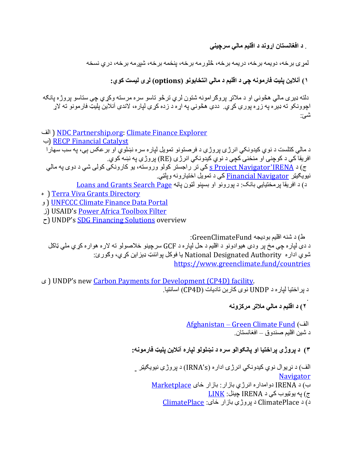. **د ناتسناغفا دنوړا د میلقا يلام ېنیچرس**

لمری برخه، دويمه برخه، دريمه برخه، څلورمه برخه، پنځمه برخه، هروی شخه ، دری نسخه

**١ ) نیلانآ Aیلپ ھنومراف ېچ د میلقا د يلام ونوباختنا (options ( ۍHل تسیل يوک :**

دلته ډیری مالی هڅونی او د ملاتړ پروګرامونه شتون لري ترڅو تاسو سره مرسته وکړی چی ستاسو پروژه پانګه اچوونکو ته ډیر ه په زړه پور ې کړې. ددې هڅونې په اړه د زده کړې لپار ه، لاندې آنلاین پلیټ فارمونو ته لاړ ئش :

اف) NDC Partnership.org: Climate Finance Explorer

ب (RECP Financial Catalyst

د مالي كتلست د نوي كيدونكي انرژي پروژي د فرصتونو تمويل لياره سره نښلوي او بر عكس بي، په سب سهار ا افريقا کي د کوچني او منځني کچي د نوي کيدونکي انرژي (RE) پروژي په نښه کوي. ج) د <u>Project Navigator'IRENA و</u> کی تر راجستر کولو وروسته، یو کارونکی کولی شی د دوی یه مالی نیویګیټر <u>Financial Navigator</u> کې د تمویل اختیارونه ویلټي.

د) د افريقا ير مختيايي بانک: د يورونو او بسينو لټون باڼه Loans and Grants Search Page

• Terra Viva Grants Directory

و ) UNFCCC Climate Finance Data Portal

ز (USAID's Power Africa Toolbox Filter

 $\zeta$ ) UNDP's SDG Financing Solutions overview

ط ) د ھنش میلقا ھجیدوب GreenClimateFund: د دې لپاره چي مخ پر ودې هيوادونو د اقليم د حل لپاره د GCF سرچينو خلاصولو ته لاره هواره كړې ملي ټاكل شوي اداره National Designated Authority يا فوكل بوائنټ ډيز اين كړى، وكور ئ: https://www.greenclimate.fund/countries

ی ( UNDP's new Carbon Payments for Development (CP4D) facility. د بر اختبا لبار ه د UNDP نوی کار بن نادبات (CP4D) اسانتبا.

> . **٢ ) د میلقا د يلام Hتلام ھنوزکرم**

الف) <u>Afghanistan – Green Climate Fund</u> د شين اقليم صندوق – افغانستان.

**٣) د ېژورپ ایتخارپ وا ولاوUناپ هرس د ولولWن هراپل نیلانآ Aیلپ ھنومراف :**

الف) د نړ يو ال نو ي کيدو نکي انر ژ ۍ ادار ه (IRNA's) د پر و ژ ي نيو پګيټر **Navigator** ب) د IRENA دوامداره انرژي بازار: بازار ځای Marketplace ج) په پوټيوب کی د IRENA چينل: <u>LINK</u> د ) د ClimatePlace د ېژورپ رازاب یاÖ : ClimatePlace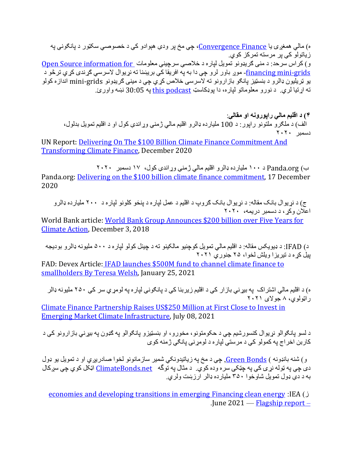ه) مالي همغږۍ يا <u>Convergence Finance،</u> چې مخ پر ودې هېوادو کې د خصوصـي سکټور د پانګون*ې* په ز پاتولو کی بر مرسته تمرکز کوی. و) كراس سرحد: د منى كريډونو تمويل لپاره د خلاصى سرچينى معلومات Open Source information for <u>financing mini-grids-</u> موړ باور لرو چې دا به په افريقا کې بريښنا ته نړيوال لاسرسي ګړندي کړي ترڅو د یو نریلیون ډالرو د بنسټیز پانګو باز ارونو نه لاسرسی خلاص کړي چې د مینی ګریډونو mini-grids اندازه کولو ته اړتيا لري . د نورو معلوماتو لپاره، دا پوډکاسټ this podcast په 30:05 نښه واورئ.

**۴ ) د میلقا يلام ھنوروپار وا ېلاقم** : الف) د ملګرو ملتونو راپور : د 100 ملیارده ډالرو اقلیم مالي ژمنې وړاندې کول او د اقلیم تمویل بدلول، دسمبر ٢٠٢٠

UN Report: Delivering On The \$100 Billion Climate Finance Commitment And Transforming Climate Finance, December 2020

ب) Panda.org د ١٠٠ مليار ده ډالرو اقليم مالي ژمني وړاندې کول، ١٧ دسمبر ٢٠٢٠ Panda.org: Delivering on the \$100 billion climate finance commitment, 17 December 2020

ج) د نړ يو ال بانک مقاله: د نړيو ال بانک ګروپ د اقليم د عمل لپار ه د پنځو کلونو لپار ه د ٢٠٠ مليار ده ډالرو اعلان و کر ، د دسمبر در بمه، ٢٠٢٠

World Bank article: World Bank Group Announces \$200 billion over Five Years for Climate Action, December 3, 2018

د) IFAD: د ډیویکس مقاله: د اقلیم مالی تمویل کوچنیو مالکینو ته د چینل کولو لپار ه د ۵۰۰ ملیونه ډالرو بودیجه بیل کر ه د تیر بز ۱ و بلش لخو ۱، ۲۵ جنو ر ی ۲۰۲۱

FAD: Devex Article: IFAD launches \$500M fund to channel climate finance to smallholders By Teresa Welsh, January 25, 2021

ه) د اقليم مالي اشتر اک په بيړني باز ار کې د اقليم زيربنا کې د پانګوني لپار ه په لومړي سر کې ٢٥٠ مليونه ډالر راټولوي، ٨ جولاي ٢٠٢١

Climate Finance Partnership Raises US\$250 Million at First Close to Invest in Emerging Market Climate Infrastructure, July 08, 2021

د لسو پانګوالو نړیوال کنسورشیم چی د حکومتونو ، مخورو ، او بنسټیزو پانګوالو په ګډون په بیړنی بازارونو کی د کاربن اخراج په کمولو کې د مرستي لپاره د لومړنۍ پانګي ژمنه کوی

و) شنه بانډونه ) Green Bonds، چې د مخ يه زياتيدونکي شمير سازمانونو لخوا صادريږي او د تمويل يو ډول دی چې په ټوله نړۍ کې په چټکۍ سره وده کوي. د مثال په توگه <u>ClimateBonds.net</u> اټکل کوي چې سږکال به د دې ډول تمويل شاوخوا ٣٥٠ مليار ده ډالر ار زېښت ولري.

economies and developing transitions in emerging Financing clean energy : IEA ( ز .June  $2021 -$  Flagship report –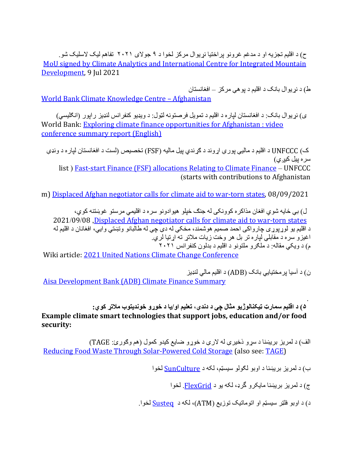ح) د اقلیم تجزیه او د مدغم غرونو بر اختیا نړیوال مرکز لخوا د ۹ جولای ۲۰۲۱ تفاهم لیک لاسلیک شو . MoU signed by Climate Analytics and International Centre for Integrated Mountain Development, 9 Jul 2021

ط) د نړ يو ال بانک د اقليم د يو هي مر کز  $\pm$  افغانستان World Bank Climate Knowledge Centre - Afghanistan

ی) نر پوال بانک: د افغانستان لپار ه د اقلیم د تمویل فر صنو نه لټول: د ویډیو کنفر انس لنډیز ر ایور (انګلیسی) World Bank: Exploring climate finance opportunities for Afghanistan : video conference summary report (English)

ک) UNFCCC د اقلیم د مالیې یورې اړوند د ګړندي بیل مالیه (FSF) تخصیص (لست د افغانستان لپاره د ونډي سر ہ بیل کی<u>ر ی</u>) list) Fast-start Finance (FSF) allocations Relating to Climate Finance – UNFCCC (starts with contributions to Afghanistan

m) Displaced Afghan negotiator calls for climate aid to war-torn states, 08/09/2021

ل) بي ځايه شوی افغان مذاکر ه کوونکي له جنګ ځيلو هيوادونو سره د اقليمي مرستو غوښتنه کوی، 2021/09/08 , Displaced Afghan negotiator calls for climate aid to war-torn states د اقليم يو لوړيوړي چارواكي احمد صميم هوشمند، مخكي له دي چي له طالبانو ونښتي وايي، افغانان د اقليم له اغیز و سره د مقابلي لباره تر بل هر وخت زیات ملاتړ ته اړتیا لري. م) د ویکی مقاله: د ملکرو ملتونو د اقلیم د بدلون کنفرانس ٢٠٢١

Wiki article: 2021 United Nations Climate Change Conference

ن) د آسیا بر مختیابی بانک (ADB) د اقلیم مالی لنډیز Aisa Development Bank (ADB) Climate Finance Summary

## **۵ ) د میلقا ټرامس ویژولانکی^ لاثم ېچ د ،ېدند میلعت وا / ای د وړوخ بوتیدنوخ Hتلام يوک : Example climate smart technologies that support jobs, education and/or food security:**

الف) د لمريز بريښنا د سړو ذخيري له لاري د خوړو ضايع کيدو کمول (هم وګورئ: TAGE) Reducing Food Waste Through Solar-Powered Cold Storage (also see: TAGE)

ب) د لمريز بريښنا د اوبو لکولو سيسټم، لکه د SunCulture لخوا

ج) د لمريز بريښنا مايکرو گرډ، لکه يو د FlexGrid. لخوا

.

د) د اوبو فلټر سیسټم او اتوماتیک توزیع (ATM)، لکه د Susteq لخوا